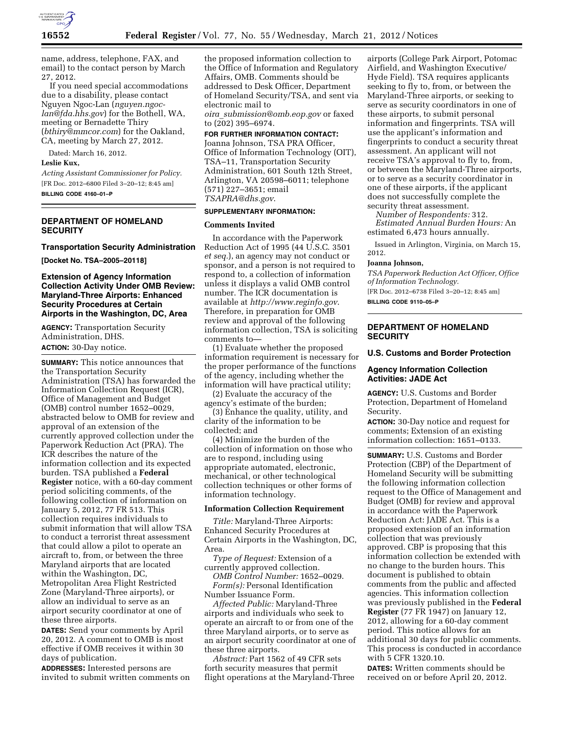

name, address, telephone, FAX, and email) to the contact person by March 27, 2012.

If you need special accommodations due to a disability, please contact Nguyen Ngoc-Lan (*nguyen.ngoclan@fda.hhs.gov*) for the Bothell, WA, meeting or Bernadette Thiry (*bthiry@mmcor.com*) for the Oakland, CA, meeting by March 27, 2012.

Dated: March 16, 2012.

### **Leslie Kux,**

*Acting Assistant Commissioner for Policy.*  [FR Doc. 2012–6800 Filed 3–20–12; 8:45 am] **BILLING CODE 4160–01–P** 

# **DEPARTMENT OF HOMELAND SECURITY**

#### **Transportation Security Administration**

**[Docket No. TSA–2005–20118]** 

### **Extension of Agency Information Collection Activity Under OMB Review: Maryland-Three Airports: Enhanced Security Procedures at Certain Airports in the Washington, DC, Area**

**AGENCY:** Transportation Security Administration, DHS. **ACTION:** 30-Day notice.

**SUMMARY:** This notice announces that the Transportation Security Administration (TSA) has forwarded the Information Collection Request (ICR), Office of Management and Budget (OMB) control number 1652–0029, abstracted below to OMB for review and approval of an extension of the currently approved collection under the Paperwork Reduction Act (PRA). The ICR describes the nature of the information collection and its expected burden. TSA published a **Federal Register** notice, with a 60-day comment period soliciting comments, of the following collection of information on January 5, 2012, 77 FR 513. This collection requires individuals to submit information that will allow TSA to conduct a terrorist threat assessment that could allow a pilot to operate an aircraft to, from, or between the three Maryland airports that are located within the Washington, DC, Metropolitan Area Flight Restricted Zone (Maryland-Three airports), or allow an individual to serve as an airport security coordinator at one of these three airports.

**DATES:** Send your comments by April 20, 2012. A comment to OMB is most effective if OMB receives it within 30 days of publication.

**ADDRESSES:** Interested persons are invited to submit written comments on

the proposed information collection to the Office of Information and Regulatory Affairs, OMB. Comments should be addressed to Desk Officer, Department of Homeland Security/TSA, and sent via electronic mail to *oira*\_*[submission@omb.eop.gov](mailto:oira_submission@omb.eop.gov)* or faxed

to (202) 395–6974.

### **FOR FURTHER INFORMATION CONTACT:**

Joanna Johnson, TSA PRA Officer, Office of Information Technology (OIT), TSA–11, Transportation Security Administration, 601 South 12th Street, Arlington, VA 20598–6011; telephone (571) 227–3651; email *[TSAPRA@dhs.gov](mailto:TSAPRA@dhs.gov)*.

### **SUPPLEMENTARY INFORMATION:**

#### **Comments Invited**

In accordance with the Paperwork Reduction Act of 1995 (44 U.S.C. 3501 *et seq.*), an agency may not conduct or sponsor, and a person is not required to respond to, a collection of information unless it displays a valid OMB control number. The ICR documentation is available at *http://www.reginfo.gov*. Therefore, in preparation for OMB review and approval of the following information collection, TSA is soliciting comments to—

(1) Evaluate whether the proposed information requirement is necessary for the proper performance of the functions of the agency, including whether the information will have practical utility;

(2) Evaluate the accuracy of the agency's estimate of the burden;

(3) Enhance the quality, utility, and clarity of the information to be collected; and

(4) Minimize the burden of the collection of information on those who are to respond, including using appropriate automated, electronic, mechanical, or other technological collection techniques or other forms of information technology.

#### **Information Collection Requirement**

*Title:* Maryland-Three Airports: Enhanced Security Procedures at Certain Airports in the Washington, DC, Area.

*Type of Request:* Extension of a currently approved collection.

*OMB Control Number:* 1652–0029. *Form(s):* Personal Identification Number Issuance Form.

*Affected Public:* Maryland-Three airports and individuals who seek to operate an aircraft to or from one of the three Maryland airports, or to serve as an airport security coordinator at one of these three airports.

*Abstract:* Part 1562 of 49 CFR sets forth security measures that permit flight operations at the Maryland-Three

airports (College Park Airport, Potomac Airfield, and Washington Executive/ Hyde Field). TSA requires applicants seeking to fly to, from, or between the Maryland-Three airports, or seeking to serve as security coordinators in one of these airports, to submit personal information and fingerprints. TSA will use the applicant's information and fingerprints to conduct a security threat assessment. An applicant will not receive TSA's approval to fly to, from, or between the Maryland-Three airports, or to serve as a security coordinator in one of these airports, if the applicant does not successfully complete the security threat assessment.

*Number of Respondents:* 312. *Estimated Annual Burden Hours:* An estimated 6,473 hours annually.

Issued in Arlington, Virginia, on March 15, 2012.

#### **Joanna Johnson,**

*TSA Paperwork Reduction Act Officer, Office of Information Technology.* 

[FR Doc. 2012–6738 Filed 3–20–12; 8:45 am] **BILLING CODE 9110–05–P** 

### **DEPARTMENT OF HOMELAND SECURITY**

#### **U.S. Customs and Border Protection**

# **Agency Information Collection Activities: JADE Act**

**AGENCY:** U.S. Customs and Border Protection, Department of Homeland Security.

**ACTION:** 30-Day notice and request for comments; Extension of an existing information collection: 1651–0133.

**SUMMARY:** U.S. Customs and Border Protection (CBP) of the Department of Homeland Security will be submitting the following information collection request to the Office of Management and Budget (OMB) for review and approval in accordance with the Paperwork Reduction Act: JADE Act. This is a proposed extension of an information collection that was previously approved. CBP is proposing that this information collection be extended with no change to the burden hours. This document is published to obtain comments from the public and affected agencies. This information collection was previously published in the **Federal Register** (77 FR 1947) on January 12, 2012, allowing for a 60-day comment period. This notice allows for an additional 30 days for public comments. This process is conducted in accordance with 5 CFR 1320.10.

**DATES:** Written comments should be received on or before April 20, 2012.